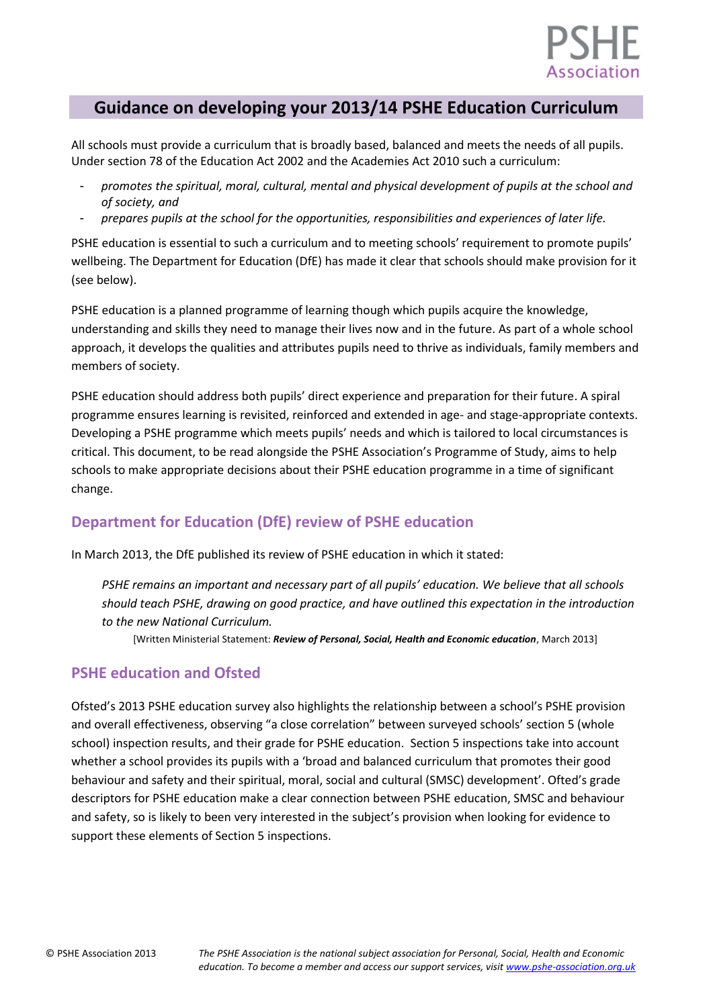

# **Guidance on developing your 2013/14 PSHE Education Curriculum**

All schools must provide a curriculum that is broadly based, balanced and meets the needs of all pupils. Under section 78 of the Education Act 2002 and the Academies Act 2010 such a curriculum:

- *promotes the spiritual, moral, cultural, mental and physical development of pupils at the school and of society, and*
- *prepares pupils at the school for the opportunities, responsibilities and experiences of later life.*

PSHE education is essential to such a curriculum and to meeting schools' requirement to promote pupils' wellbeing. The Department for Education (DfE) has made it clear that schools should make provision for it (see below).

PSHE education is a planned programme of learning though which pupils acquire the knowledge, understanding and skills they need to manage their lives now and in the future. As part of a whole school approach, it develops the qualities and attributes pupils need to thrive as individuals, family members and members of society.

PSHE education should address both pupils' direct experience and preparation for their future. A spiral programme ensures learning is revisited, reinforced and extended in age- and stage-appropriate contexts. Developing a PSHE programme which meets pupils' needs and which is tailored to local circumstances is critical. This document, to be read alongside the PSHE Association's Programme of Study, aims to help schools to make appropriate decisions about their PSHE education programme in a time of significant change.

# **Department for Education (DfE) review of PSHE education**

In March 2013, the DfE published its review of PSHE education in which it stated:

*PSHE remains an important and necessary part of all pupils' education. We believe that all schools should teach PSHE, drawing on good practice, and have outlined this expectation in the introduction to the new National Curriculum.* 

[Written Ministerial Statement: *Review of Personal, Social, Health and Economic education*, March 2013]

# **PSHE education and Ofsted**

Ofsted's 2013 PSHE education survey also highlights the relationship between a school's PSHE provision and overall effectiveness, observing "a close correlation" between surveyed schools' section 5 (whole school) inspection results, and their grade for PSHE education. Section 5 inspections take into account whether a school provides its pupils with a 'broad and balanced curriculum that promotes their good behaviour and safety and their spiritual, moral, social and cultural (SMSC) development'. Ofted's grade descriptors for PSHE education make a clear connection between PSHE education, SMSC and behaviour and safety, so is likely to been very interested in the subject's provision when looking for evidence to support these elements of Section 5 inspections.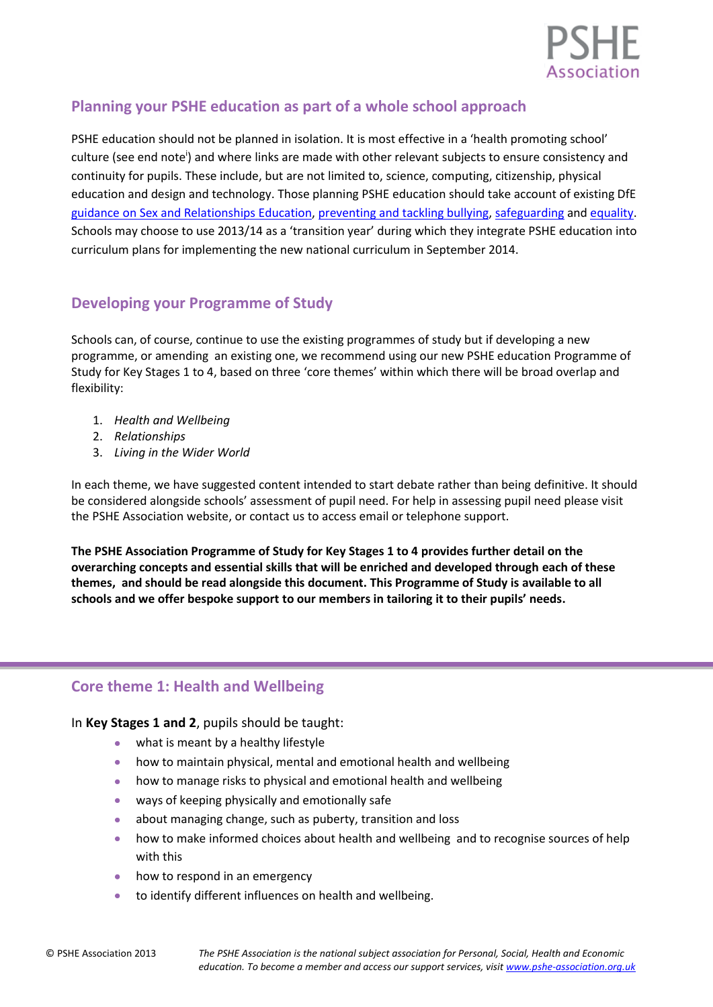

# **Planning your PSHE education as part of a whole school approach**

PSHE education should not be planned in isolation. It is most effective in a 'health promoting school' culture (see end note<sup>i</sup>) and where links are made with other relevant subjects to ensure consistency and continuity for pupils. These include, but are not limited to, science, computing, citizenship, physical education and design and technology. Those planning PSHE education should take account of existing DfE guidance on [Sex and Relationships Education,](http://www.education.gov.uk/aboutdfe/statutory/g00214676/sex-and-relationships-education-guidance) [preventing and tackling bullying,](http://www.education.gov.uk/aboutdfe/advice/f0076899/preventing-and-tackling-bullying) [safeguarding](http://www.education.gov.uk/schools/guidanceandadvice?f_category=Safeguarding&page=1) and [equality.](http://www.education.gov.uk/aboutdfe/advice/f00215460/equality-act-2010-departmental-advice) Schools may choose to use 2013/14 as a 'transition year' during which they integrate PSHE education into curriculum plans for implementing the new national curriculum in September 2014.

# **Developing your Programme of Study**

Schools can, of course, continue to use the existing programmes of study but if developing a new programme, or amending an existing one, we recommend using our new PSHE education Programme of Study for Key Stages 1 to 4, based on three 'core themes' within which there will be broad overlap and flexibility:

- 1. *Health and Wellbeing*
- 2. *Relationships*
- 3. *Living in the Wider World*

In each theme, we have suggested content intended to start debate rather than being definitive. It should be considered alongside schools' assessment of pupil need. For help in assessing pupil need please visit the PSHE Association website, or contact us to access email or telephone support.

**The PSHE Association Programme of Study for Key Stages 1 to 4 provides further detail on the overarching concepts and essential skills that will be enriched and developed through each of these themes, and should be read alongside this document. This Programme of Study is available to all schools and we offer bespoke support to our members in tailoring it to their pupils' needs.**

# **Core theme 1: Health and Wellbeing**

### In **Key Stages 1 and 2**, pupils should be taught:

- what is meant by a healthy lifestyle
- how to maintain physical, mental and emotional health and wellbeing
- how to manage risks to physical and emotional health and wellbeing
- ways of keeping physically and emotionally safe
- about managing change, such as puberty, transition and loss
- how to make informed choices about health and wellbeing and to recognise sources of help with this
- how to respond in an emergency
- to identify different influences on health and wellbeing.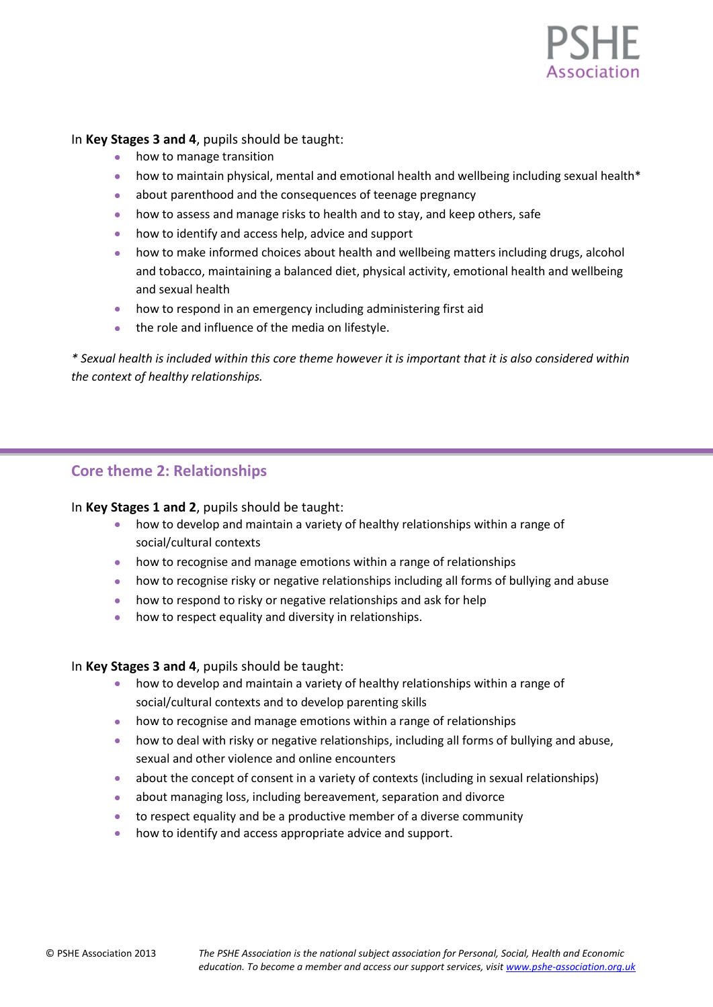

In **Key Stages 3 and 4**, pupils should be taught:

- how to manage transition
- how to maintain physical, mental and emotional health and wellbeing including sexual health\*
- about parenthood and the consequences of teenage pregnancy
- how to assess and manage risks to health and to stay, and keep others, safe
- how to identify and access help, advice and support
- how to make informed choices about health and wellbeing matters including drugs, alcohol and tobacco, maintaining a balanced diet, physical activity, emotional health and wellbeing and sexual health
- how to respond in an emergency including administering first aid
- the role and influence of the media on lifestyle.

*\* Sexual health is included within this core theme however it is important that it is also considered within the context of healthy relationships.* 

### **Core theme 2: Relationships**

### In **Key Stages 1 and 2**, pupils should be taught:

- how to develop and maintain a variety of healthy relationships within a range of social/cultural contexts
- how to recognise and manage emotions within a range of relationships
- how to recognise risky or negative relationships including all forms of bullying and abuse  $\bullet$
- how to respond to risky or negative relationships and ask for help
- how to respect equality and diversity in relationships.

### In **Key Stages 3 and 4**, pupils should be taught:

- how to develop and maintain a variety of healthy relationships within a range of social/cultural contexts and to develop parenting skills
- how to recognise and manage emotions within a range of relationships
- how to deal with risky or negative relationships, including all forms of bullying and abuse, sexual and other violence and online encounters
- about the concept of consent in a variety of contexts (including in sexual relationships)
- about managing loss, including bereavement, separation and divorce
- to respect equality and be a productive member of a diverse community
- how to identify and access appropriate advice and support.